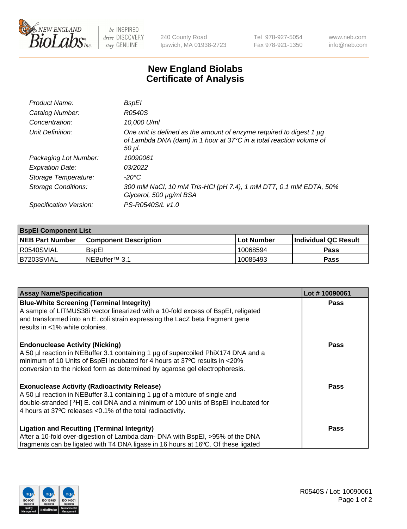

 $be$  INSPIRED drive DISCOVERY stay GENUINE

240 County Road Ipswich, MA 01938-2723 Tel 978-927-5054 Fax 978-921-1350 www.neb.com info@neb.com

## **New England Biolabs Certificate of Analysis**

| Product Name:              | <b>BspEI</b>                                                                                                                                         |
|----------------------------|------------------------------------------------------------------------------------------------------------------------------------------------------|
| Catalog Number:            | R0540S                                                                                                                                               |
| Concentration:             | 10,000 U/ml                                                                                                                                          |
| Unit Definition:           | One unit is defined as the amount of enzyme required to digest 1 µg<br>of Lambda DNA (dam) in 1 hour at 37°C in a total reaction volume of<br>50 µl. |
| Packaging Lot Number:      | 10090061                                                                                                                                             |
| <b>Expiration Date:</b>    | 03/2022                                                                                                                                              |
| Storage Temperature:       | $-20^{\circ}$ C                                                                                                                                      |
| <b>Storage Conditions:</b> | 300 mM NaCl, 10 mM Tris-HCl (pH 7.4), 1 mM DTT, 0.1 mM EDTA, 50%<br>Glycerol, 500 µg/ml BSA                                                          |
| Specification Version:     | PS-R0540S/L v1.0                                                                                                                                     |

| <b>BspEl Component List</b> |                              |             |                       |  |  |
|-----------------------------|------------------------------|-------------|-----------------------|--|--|
| <b>NEB Part Number</b>      | <b>Component Description</b> | ⊺Lot Number | ∣Individual QC Result |  |  |
| R0540SVIAL                  | <b>B</b> spEl                | 10068594    | <b>Pass</b>           |  |  |
| I B7203SVIAL                | INEBuffer™ 3.1               | 10085493    | <b>Pass</b>           |  |  |

| <b>Assay Name/Specification</b>                                                    | Lot #10090061 |
|------------------------------------------------------------------------------------|---------------|
| <b>Blue-White Screening (Terminal Integrity)</b>                                   | <b>Pass</b>   |
| A sample of LITMUS38i vector linearized with a 10-fold excess of BspEI, religated  |               |
| and transformed into an E. coli strain expressing the LacZ beta fragment gene      |               |
| results in <1% white colonies.                                                     |               |
| <b>Endonuclease Activity (Nicking)</b>                                             | <b>Pass</b>   |
| A 50 µl reaction in NEBuffer 3.1 containing 1 µg of supercoiled PhiX174 DNA and a  |               |
| minimum of 10 Units of BspEI incubated for 4 hours at 37°C results in <20%         |               |
| conversion to the nicked form as determined by agarose gel electrophoresis.        |               |
| <b>Exonuclease Activity (Radioactivity Release)</b>                                | Pass          |
| A 50 µl reaction in NEBuffer 3.1 containing 1 µg of a mixture of single and        |               |
| double-stranded [3H] E. coli DNA and a minimum of 100 units of BspEI incubated for |               |
| 4 hours at 37°C releases < 0.1% of the total radioactivity.                        |               |
| Ligation and Recutting (Terminal Integrity)                                        | <b>Pass</b>   |
| After a 10-fold over-digestion of Lambda dam- DNA with BspEI, >95% of the DNA      |               |
| fragments can be ligated with T4 DNA ligase in 16 hours at 16°C. Of these ligated  |               |